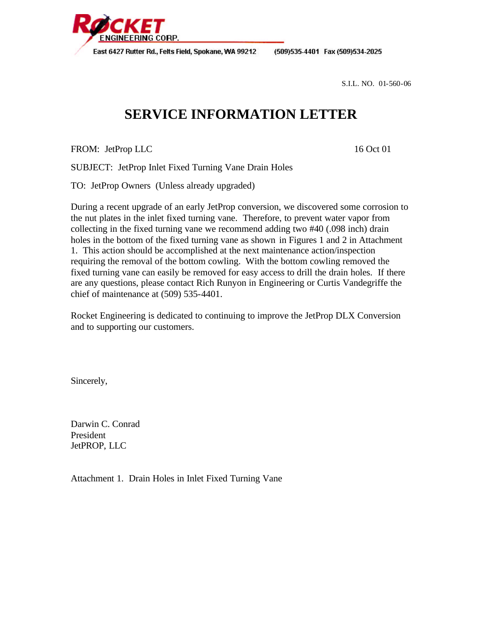

(509)535-4401 Fax (509)534-2025

S.I.L. NO. 01-560-06

## **SERVICE INFORMATION LETTER**

FROM: JetProp LLC 16 Oct 01

SUBJECT: JetProp Inlet Fixed Turning Vane Drain Holes

TO: JetProp Owners (Unless already upgraded)

During a recent upgrade of an early JetProp conversion, we discovered some corrosion to the nut plates in the inlet fixed turning vane. Therefore, to prevent water vapor from collecting in the fixed turning vane we recommend adding two #40 (.098 inch) drain holes in the bottom of the fixed turning vane as shown in Figures 1 and 2 in Attachment 1. This action should be accomplished at the next maintenance action/inspection requiring the removal of the bottom cowling. With the bottom cowling removed the fixed turning vane can easily be removed for easy access to drill the drain holes. If there are any questions, please contact Rich Runyon in Engineering or Curtis Vandegriffe the chief of maintenance at (509) 535-4401.

Rocket Engineering is dedicated to continuing to improve the JetProp DLX Conversion and to supporting our customers.

Sincerely,

Darwin C. Conrad President JetPROP, LLC

Attachment 1. Drain Holes in Inlet Fixed Turning Vane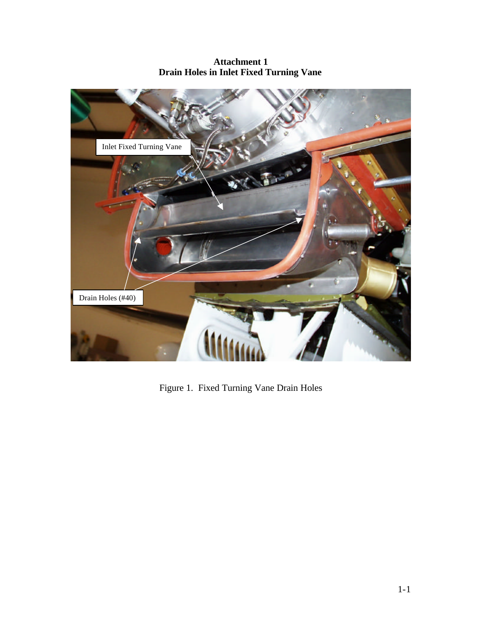## **Attachment 1 Drain Holes in Inlet Fixed Turning Vane**



Figure 1. Fixed Turning Vane Drain Holes